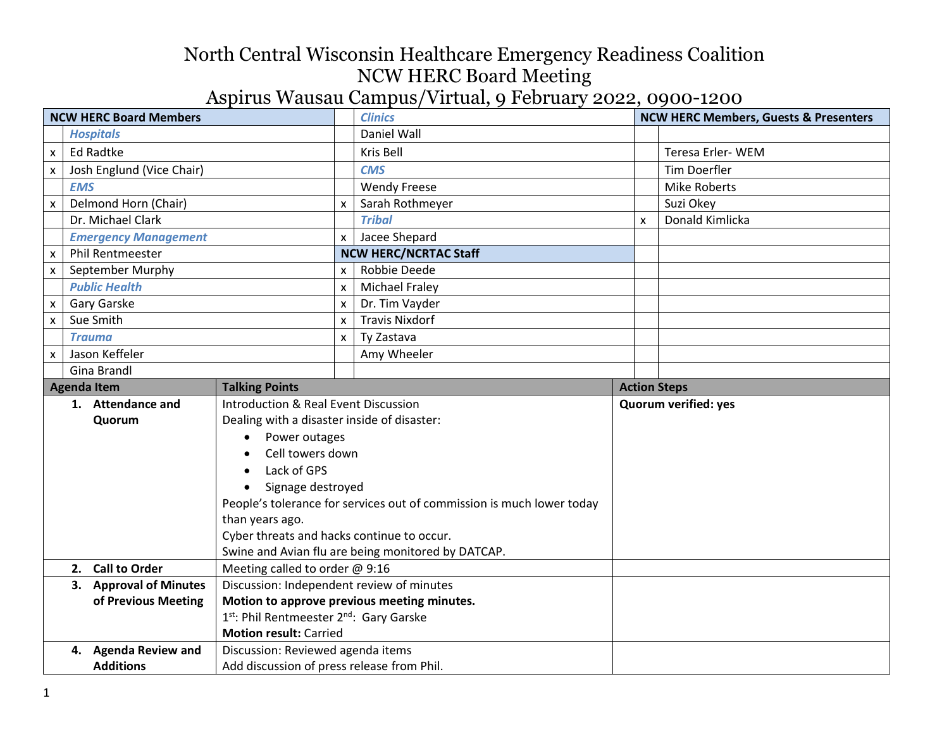| <b>NCW HERC Board Members</b> |                                                                         |                                                    | <b>Clinics</b>                                                        |   | <b>NCW HERC Members, Guests &amp; Presenters</b> |  |
|-------------------------------|-------------------------------------------------------------------------|----------------------------------------------------|-----------------------------------------------------------------------|---|--------------------------------------------------|--|
|                               | <b>Hospitals</b>                                                        |                                                    | Daniel Wall                                                           |   |                                                  |  |
| X.                            | <b>Ed Radtke</b>                                                        |                                                    | Kris Bell                                                             |   | Teresa Erler-WEM                                 |  |
| x                             | Josh Englund (Vice Chair)                                               |                                                    | <b>CMS</b>                                                            |   | <b>Tim Doerfler</b>                              |  |
|                               | <b>EMS</b>                                                              |                                                    | <b>Wendy Freese</b>                                                   |   | <b>Mike Roberts</b>                              |  |
| X                             | Delmond Horn (Chair)                                                    | $\boldsymbol{\mathsf{x}}$                          | Sarah Rothmeyer                                                       |   | Suzi Okey                                        |  |
|                               | Dr. Michael Clark                                                       |                                                    | <b>Tribal</b>                                                         | x | Donald Kimlicka                                  |  |
|                               | <b>Emergency Management</b>                                             | $\mathsf{x}$                                       | Jacee Shepard                                                         |   |                                                  |  |
| x                             | <b>Phil Rentmeester</b>                                                 |                                                    | <b>NCW HERC/NCRTAC Staff</b>                                          |   |                                                  |  |
| X.                            | September Murphy                                                        | X                                                  | Robbie Deede                                                          |   |                                                  |  |
|                               | <b>Public Health</b>                                                    | $\boldsymbol{\mathsf{x}}$                          | <b>Michael Fraley</b>                                                 |   |                                                  |  |
| x                             | Gary Garske                                                             | X                                                  | Dr. Tim Vayder                                                        |   |                                                  |  |
| X                             | Sue Smith                                                               | X                                                  | <b>Travis Nixdorf</b>                                                 |   |                                                  |  |
|                               | <b>Trauma</b>                                                           | $\boldsymbol{\mathsf{x}}$                          | Ty Zastava                                                            |   |                                                  |  |
| $\mathsf{x}$                  | Jason Keffeler                                                          |                                                    | Amy Wheeler                                                           |   |                                                  |  |
|                               | Gina Brandl                                                             |                                                    |                                                                       |   |                                                  |  |
|                               | <b>Talking Points</b><br><b>Agenda Item</b>                             |                                                    |                                                                       |   | <b>Action Steps</b>                              |  |
|                               | Introduction & Real Event Discussion<br>1. Attendance and               |                                                    |                                                                       |   | <b>Quorum verified: yes</b>                      |  |
|                               | Dealing with a disaster inside of disaster:<br>Quorum                   |                                                    |                                                                       |   |                                                  |  |
|                               | Power outages<br>$\bullet$                                              |                                                    |                                                                       |   |                                                  |  |
|                               | Cell towers down                                                        |                                                    |                                                                       |   |                                                  |  |
|                               | Lack of GPS                                                             |                                                    |                                                                       |   |                                                  |  |
|                               | Signage destroyed                                                       |                                                    |                                                                       |   |                                                  |  |
|                               |                                                                         |                                                    | People's tolerance for services out of commission is much lower today |   |                                                  |  |
|                               | than years ago.                                                         |                                                    |                                                                       |   |                                                  |  |
|                               | Cyber threats and hacks continue to occur.                              |                                                    |                                                                       |   |                                                  |  |
|                               |                                                                         | Swine and Avian flu are being monitored by DATCAP. |                                                                       |   |                                                  |  |
|                               | Meeting called to order @ 9:16<br>2. Call to Order                      |                                                    |                                                                       |   |                                                  |  |
|                               | Discussion: Independent review of minutes<br>3. Approval of Minutes     |                                                    |                                                                       |   |                                                  |  |
|                               | of Previous Meeting                                                     |                                                    | Motion to approve previous meeting minutes.                           |   |                                                  |  |
|                               | 1st: Phil Rentmeester 2nd: Gary Garske<br><b>Motion result: Carried</b> |                                                    |                                                                       |   |                                                  |  |
|                               | Discussion: Reviewed agenda items<br>4. Agenda Review and               |                                                    |                                                                       |   |                                                  |  |
|                               | <b>Additions</b>                                                        |                                                    |                                                                       |   |                                                  |  |
|                               | Add discussion of press release from Phil.                              |                                                    |                                                                       |   |                                                  |  |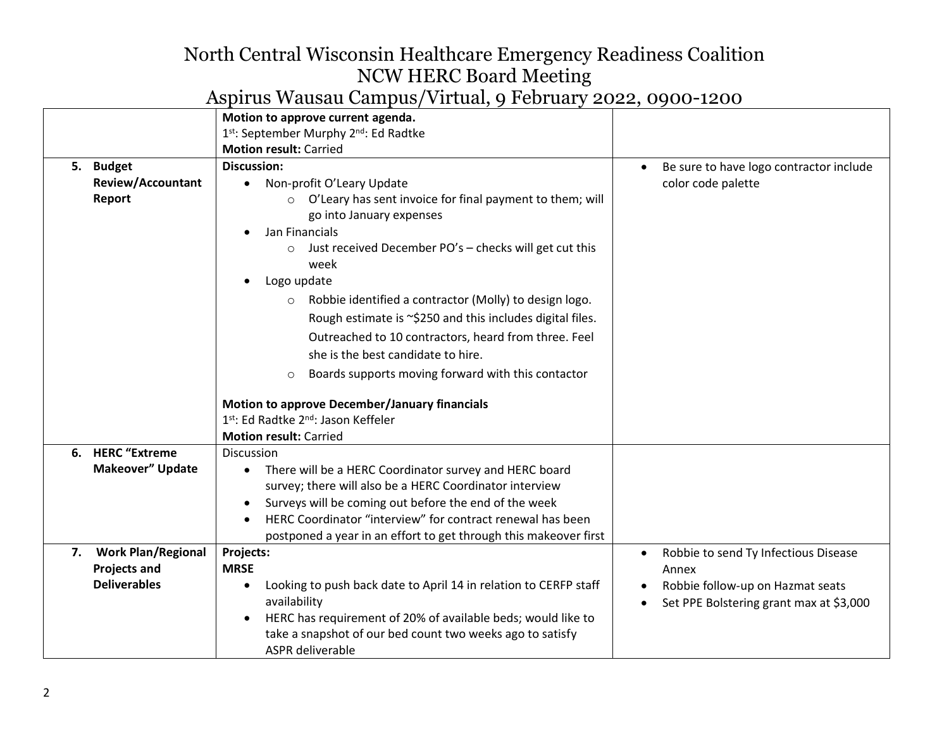|                                                                     | Motion to approve current agenda.                                                                                                                                                                                                                                                                                                                                                                                                                                                                                                                                      |                                                                                                                                           |
|---------------------------------------------------------------------|------------------------------------------------------------------------------------------------------------------------------------------------------------------------------------------------------------------------------------------------------------------------------------------------------------------------------------------------------------------------------------------------------------------------------------------------------------------------------------------------------------------------------------------------------------------------|-------------------------------------------------------------------------------------------------------------------------------------------|
|                                                                     | 1 <sup>st</sup> : September Murphy 2 <sup>nd</sup> : Ed Radtke                                                                                                                                                                                                                                                                                                                                                                                                                                                                                                         |                                                                                                                                           |
|                                                                     | <b>Motion result: Carried</b>                                                                                                                                                                                                                                                                                                                                                                                                                                                                                                                                          |                                                                                                                                           |
| 5. Budget<br><b>Review/Accountant</b><br>Report                     | <b>Discussion:</b><br>Non-profit O'Leary Update<br>٠<br>O'Leary has sent invoice for final payment to them; will<br>$\circ$<br>go into January expenses<br>Jan Financials<br>Just received December PO's - checks will get cut this<br>$\circ$<br>week<br>Logo update<br>Robbie identified a contractor (Molly) to design logo.<br>$\circ$<br>Rough estimate is ~\$250 and this includes digital files.<br>Outreached to 10 contractors, heard from three. Feel<br>she is the best candidate to hire.<br>Boards supports moving forward with this contactor<br>$\circ$ | Be sure to have logo contractor include<br>color code palette                                                                             |
|                                                                     | Motion to approve December/January financials<br>1st: Ed Radtke 2 <sup>nd</sup> : Jason Keffeler<br><b>Motion result: Carried</b>                                                                                                                                                                                                                                                                                                                                                                                                                                      |                                                                                                                                           |
| 6. HERC "Extreme<br>Makeover" Update                                | Discussion<br>• There will be a HERC Coordinator survey and HERC board<br>survey; there will also be a HERC Coordinator interview<br>Surveys will be coming out before the end of the week<br>HERC Coordinator "interview" for contract renewal has been<br>postponed a year in an effort to get through this makeover first                                                                                                                                                                                                                                           |                                                                                                                                           |
| 7. Work Plan/Regional<br><b>Projects and</b><br><b>Deliverables</b> | Projects:<br><b>MRSE</b><br>Looking to push back date to April 14 in relation to CERFP staff<br>$\bullet$<br>availability<br>HERC has requirement of 20% of available beds; would like to<br>$\bullet$<br>take a snapshot of our bed count two weeks ago to satisfy<br>ASPR deliverable                                                                                                                                                                                                                                                                                | Robbie to send Ty Infectious Disease<br>$\bullet$<br>Annex<br>Robbie follow-up on Hazmat seats<br>Set PPE Bolstering grant max at \$3,000 |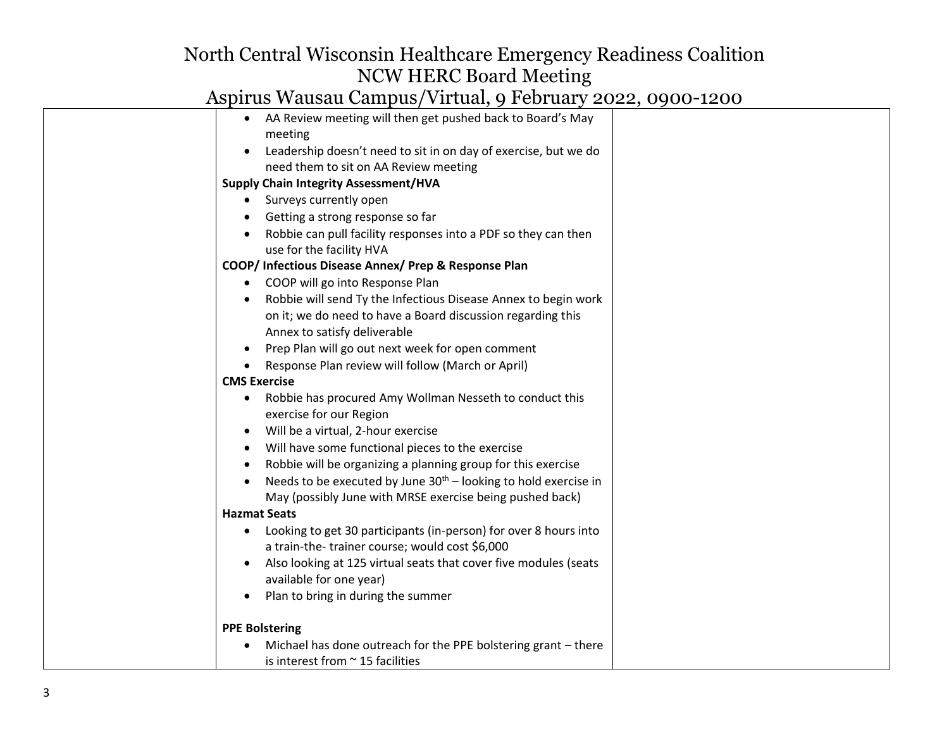| AA Review meeting will then get pushed back to Board's May                                                         |  |
|--------------------------------------------------------------------------------------------------------------------|--|
| meeting                                                                                                            |  |
| Leadership doesn't need to sit in on day of exercise, but we do                                                    |  |
| need them to sit on AA Review meeting                                                                              |  |
| <b>Supply Chain Integrity Assessment/HVA</b>                                                                       |  |
| Surveys currently open<br>$\bullet$                                                                                |  |
| Getting a strong response so far                                                                                   |  |
| Robbie can pull facility responses into a PDF so they can then                                                     |  |
| use for the facility HVA                                                                                           |  |
| COOP/ Infectious Disease Annex/ Prep & Response Plan                                                               |  |
| COOP will go into Response Plan<br>$\bullet$                                                                       |  |
| Robbie will send Ty the Infectious Disease Annex to begin work                                                     |  |
| on it; we do need to have a Board discussion regarding this                                                        |  |
| Annex to satisfy deliverable                                                                                       |  |
| Prep Plan will go out next week for open comment<br>$\bullet$                                                      |  |
| Response Plan review will follow (March or April)<br>$\bullet$                                                     |  |
| <b>CMS Exercise</b>                                                                                                |  |
| Robbie has procured Amy Wollman Nesseth to conduct this                                                            |  |
| exercise for our Region                                                                                            |  |
| Will be a virtual, 2-hour exercise                                                                                 |  |
| Will have some functional pieces to the exercise                                                                   |  |
| Robbie will be organizing a planning group for this exercise                                                       |  |
| Needs to be executed by June $30th$ – looking to hold exercise in                                                  |  |
| May (possibly June with MRSE exercise being pushed back)                                                           |  |
| <b>Hazmat Seats</b>                                                                                                |  |
| Looking to get 30 participants (in-person) for over 8 hours into<br>a train-the-trainer course; would cost \$6,000 |  |
|                                                                                                                    |  |
| Also looking at 125 virtual seats that cover five modules (seats<br>available for one year)                        |  |
| Plan to bring in during the summer                                                                                 |  |
| ٠                                                                                                                  |  |
| <b>PPE Bolstering</b>                                                                                              |  |
| Michael has done outreach for the PPE bolstering grant - there                                                     |  |
| is interest from $\sim$ 15 facilities                                                                              |  |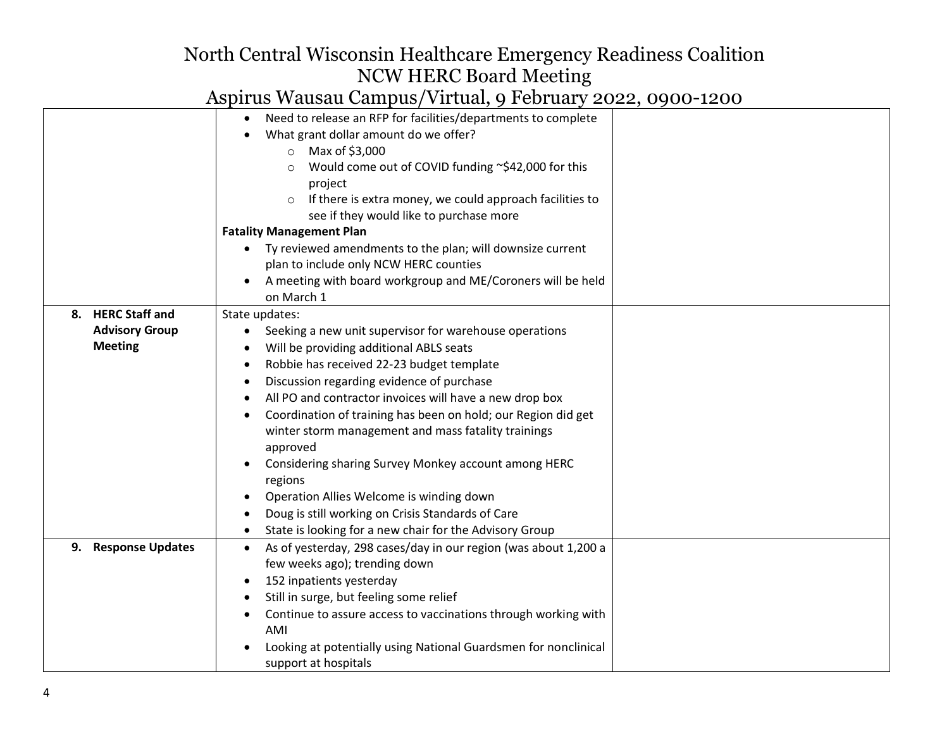|                       | Need to release an RFP for facilities/departments to complete<br>What grant dollar amount do we offer?<br>Max of \$3,000<br>$\circ$<br>Would come out of COVID funding ~\$42,000 for this<br>$\circ$<br>project<br>If there is extra money, we could approach facilities to<br>$\circ$ |  |
|-----------------------|----------------------------------------------------------------------------------------------------------------------------------------------------------------------------------------------------------------------------------------------------------------------------------------|--|
|                       | see if they would like to purchase more                                                                                                                                                                                                                                                |  |
|                       | <b>Fatality Management Plan</b>                                                                                                                                                                                                                                                        |  |
|                       | Ty reviewed amendments to the plan; will downsize current                                                                                                                                                                                                                              |  |
|                       | plan to include only NCW HERC counties                                                                                                                                                                                                                                                 |  |
|                       | A meeting with board workgroup and ME/Coroners will be held<br>on March 1                                                                                                                                                                                                              |  |
| 8. HERC Staff and     | State updates:                                                                                                                                                                                                                                                                         |  |
| <b>Advisory Group</b> | Seeking a new unit supervisor for warehouse operations<br>$\bullet$                                                                                                                                                                                                                    |  |
| <b>Meeting</b>        | Will be providing additional ABLS seats                                                                                                                                                                                                                                                |  |
|                       | Robbie has received 22-23 budget template                                                                                                                                                                                                                                              |  |
|                       | Discussion regarding evidence of purchase                                                                                                                                                                                                                                              |  |
|                       | All PO and contractor invoices will have a new drop box                                                                                                                                                                                                                                |  |
|                       | Coordination of training has been on hold; our Region did get                                                                                                                                                                                                                          |  |
|                       | winter storm management and mass fatality trainings                                                                                                                                                                                                                                    |  |
|                       | approved                                                                                                                                                                                                                                                                               |  |
|                       | Considering sharing Survey Monkey account among HERC                                                                                                                                                                                                                                   |  |
|                       | regions                                                                                                                                                                                                                                                                                |  |
|                       | Operation Allies Welcome is winding down                                                                                                                                                                                                                                               |  |
|                       | Doug is still working on Crisis Standards of Care                                                                                                                                                                                                                                      |  |
|                       | State is looking for a new chair for the Advisory Group                                                                                                                                                                                                                                |  |
| 9. Response Updates   | As of yesterday, 298 cases/day in our region (was about 1,200 a                                                                                                                                                                                                                        |  |
|                       | few weeks ago); trending down                                                                                                                                                                                                                                                          |  |
|                       | 152 inpatients yesterday                                                                                                                                                                                                                                                               |  |
|                       | Still in surge, but feeling some relief                                                                                                                                                                                                                                                |  |
|                       | Continue to assure access to vaccinations through working with<br>AMI                                                                                                                                                                                                                  |  |
|                       | Looking at potentially using National Guardsmen for nonclinical<br>support at hospitals                                                                                                                                                                                                |  |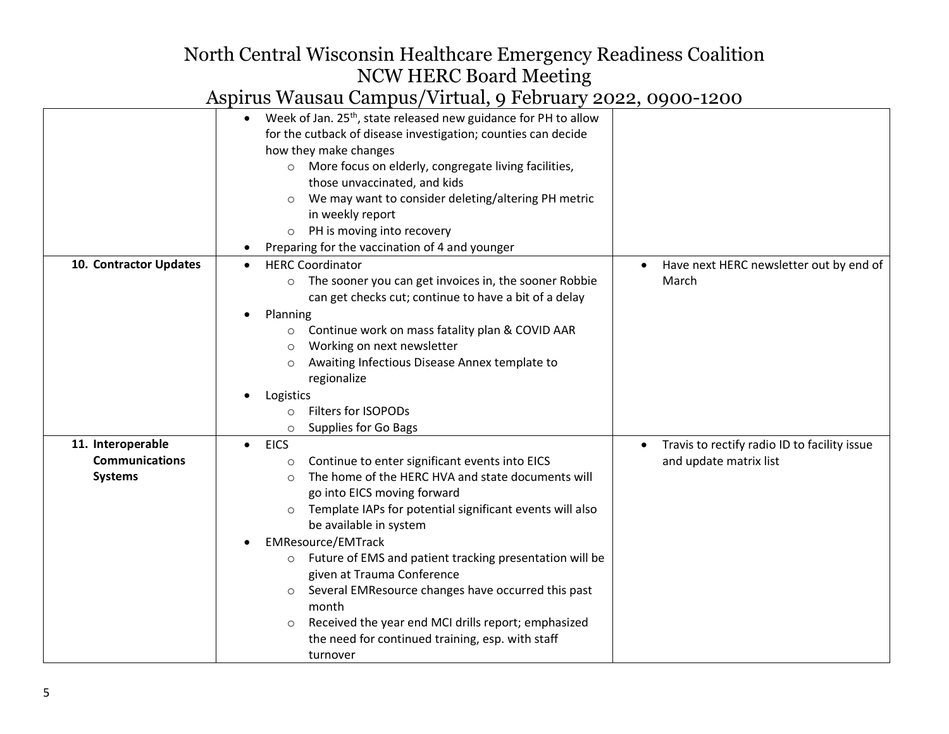|                                                              | Week of Jan. 25 <sup>th</sup> , state released new guidance for PH to allow<br>for the cutback of disease investigation; counties can decide<br>how they make changes<br>More focus on elderly, congregate living facilities,<br>$\circ$<br>those unvaccinated, and kids<br>We may want to consider deleting/altering PH metric<br>$\circ$<br>in weekly report<br>PH is moving into recovery<br>$\circ$<br>Preparing for the vaccination of 4 and younger                                                                                                                                                                  |                                                                                     |
|--------------------------------------------------------------|----------------------------------------------------------------------------------------------------------------------------------------------------------------------------------------------------------------------------------------------------------------------------------------------------------------------------------------------------------------------------------------------------------------------------------------------------------------------------------------------------------------------------------------------------------------------------------------------------------------------------|-------------------------------------------------------------------------------------|
| 10. Contractor Updates                                       | <b>HERC Coordinator</b><br>The sooner you can get invoices in, the sooner Robbie<br>$\circ$<br>can get checks cut; continue to have a bit of a delay<br>Planning<br>Continue work on mass fatality plan & COVID AAR<br>Working on next newsletter<br>$\circ$<br>Awaiting Infectious Disease Annex template to<br>$\circ$<br>regionalize<br>Logistics<br>Filters for ISOPODs<br>O<br>Supplies for Go Bags<br>$\circ$                                                                                                                                                                                                        | Have next HERC newsletter out by end of<br>March                                    |
| 11. Interoperable<br><b>Communications</b><br><b>Systems</b> | <b>EICS</b><br>$\bullet$<br>Continue to enter significant events into EICS<br>$\circ$<br>The home of the HERC HVA and state documents will<br>$\bigcirc$<br>go into EICS moving forward<br>Template IAPs for potential significant events will also<br>be available in system<br><b>EMResource/EMTrack</b><br>Future of EMS and patient tracking presentation will be<br>$\circ$<br>given at Trauma Conference<br>Several EMResource changes have occurred this past<br>$\circ$<br>month<br>Received the year end MCI drills report; emphasized<br>$\circ$<br>the need for continued training, esp. with staff<br>turnover | Travis to rectify radio ID to facility issue<br>$\bullet$<br>and update matrix list |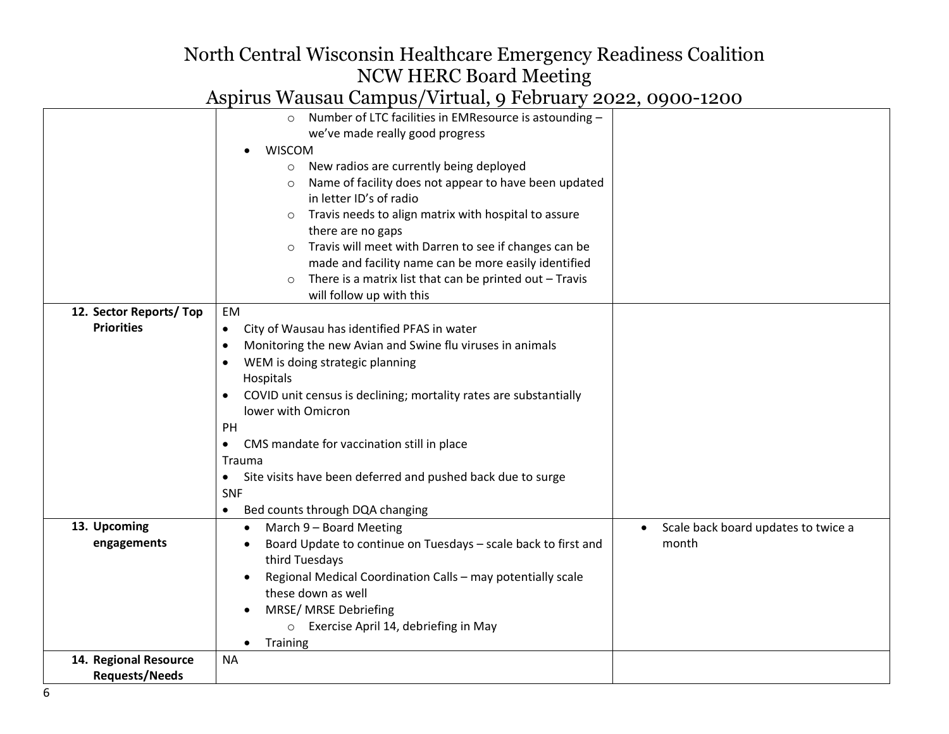|                        | $P_{\text{max}}$ $P_{\text{max}}$ $P_{\text{max}}$ $P_{\text{max}}$ $P_{\text{max}}$ $P_{\text{max}}$ $P_{\text{max}}$ $P_{\text{max}}$ $P_{\text{max}}$ |                                     |
|------------------------|----------------------------------------------------------------------------------------------------------------------------------------------------------|-------------------------------------|
|                        | o Number of LTC facilities in EMResource is astounding -                                                                                                 |                                     |
|                        | we've made really good progress                                                                                                                          |                                     |
|                        | <b>WISCOM</b>                                                                                                                                            |                                     |
|                        | New radios are currently being deployed<br>$\circ$                                                                                                       |                                     |
|                        | Name of facility does not appear to have been updated                                                                                                    |                                     |
|                        | in letter ID's of radio                                                                                                                                  |                                     |
|                        | Travis needs to align matrix with hospital to assure<br>$\circ$                                                                                          |                                     |
|                        | there are no gaps                                                                                                                                        |                                     |
|                        | Travis will meet with Darren to see if changes can be                                                                                                    |                                     |
|                        | made and facility name can be more easily identified                                                                                                     |                                     |
|                        | There is a matrix list that can be printed out - Travis<br>$\circ$                                                                                       |                                     |
|                        | will follow up with this                                                                                                                                 |                                     |
| 12. Sector Reports/Top | EM                                                                                                                                                       |                                     |
| <b>Priorities</b>      | City of Wausau has identified PFAS in water<br>$\bullet$                                                                                                 |                                     |
|                        | Monitoring the new Avian and Swine flu viruses in animals<br>٠                                                                                           |                                     |
|                        | WEM is doing strategic planning                                                                                                                          |                                     |
|                        | Hospitals                                                                                                                                                |                                     |
|                        | COVID unit census is declining; mortality rates are substantially                                                                                        |                                     |
|                        | lower with Omicron                                                                                                                                       |                                     |
|                        | PH                                                                                                                                                       |                                     |
|                        | CMS mandate for vaccination still in place                                                                                                               |                                     |
|                        | Trauma                                                                                                                                                   |                                     |
|                        | Site visits have been deferred and pushed back due to surge<br>$\bullet$                                                                                 |                                     |
|                        | <b>SNF</b>                                                                                                                                               |                                     |
|                        | Bed counts through DQA changing<br>$\bullet$                                                                                                             |                                     |
| 13. Upcoming           | March 9 - Board Meeting<br>$\bullet$                                                                                                                     | Scale back board updates to twice a |
| engagements            | Board Update to continue on Tuesdays - scale back to first and                                                                                           | month                               |
|                        | third Tuesdays                                                                                                                                           |                                     |
|                        | Regional Medical Coordination Calls - may potentially scale                                                                                              |                                     |
|                        | these down as well                                                                                                                                       |                                     |
|                        |                                                                                                                                                          |                                     |
|                        | MRSE/ MRSE Debriefing                                                                                                                                    |                                     |
|                        | o Exercise April 14, debriefing in May                                                                                                                   |                                     |
|                        | Training<br>$\bullet$                                                                                                                                    |                                     |
| 14. Regional Resource  | <b>NA</b>                                                                                                                                                |                                     |
| <b>Requests/Needs</b>  |                                                                                                                                                          |                                     |